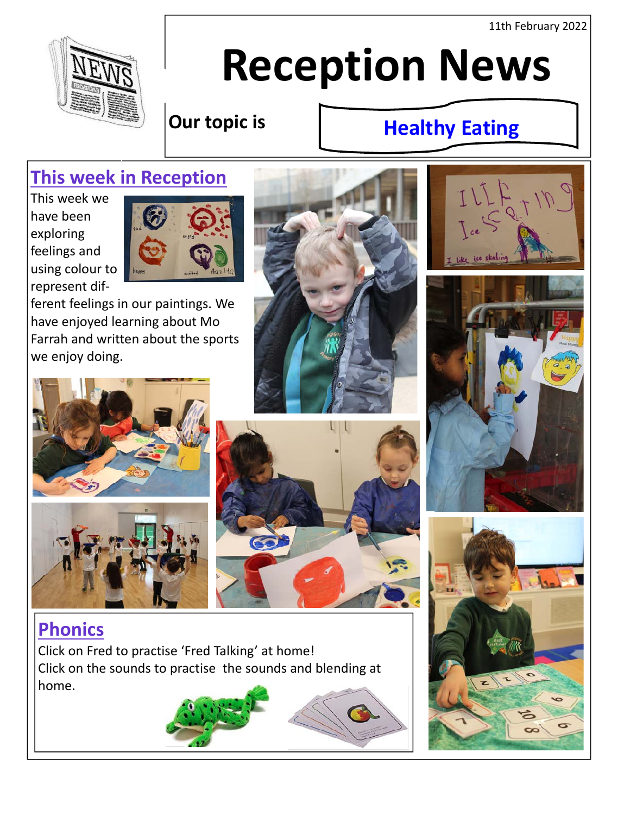11th February 2022



# **Reception News**

## **Our topic is**

# **Healthy Eating**

# **This week in Reception**

This week we have been exploring feelings and using colour to represent dif‐



ferent feelings in our paintings. We have enjoyed learning about Mo Farrah and written about the sports we enjoy doing.













## **Phonics**

Click on Fred to practise 'Fred Talking' at home! Click on the sounds to practise the sounds and blending at home.